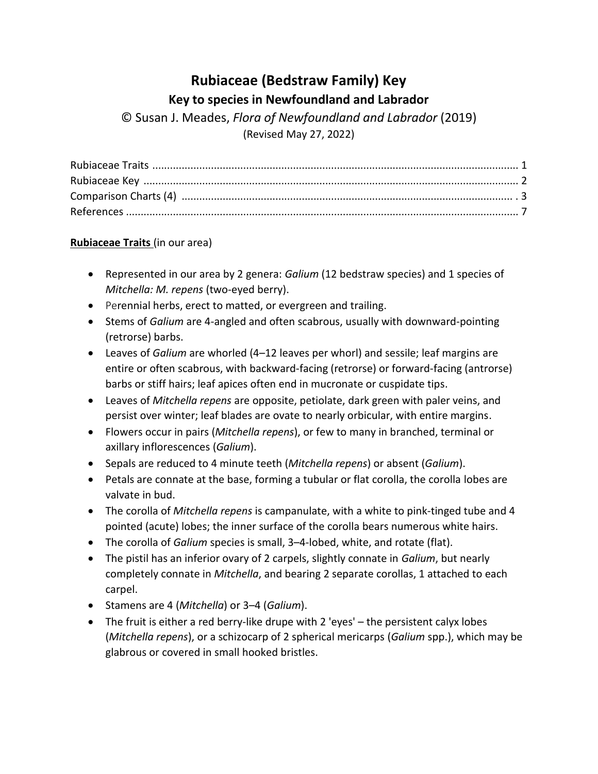### **Rubiaceae (Bedstraw Family) Key Key to species in Newfoundland and Labrador**

© Susan J. Meades, *Flora of Newfoundland and Labrador* (2019) (Revised May 27, 2022)

### **Rubiaceae Traits** (in our area)

- Represented in our area by 2 genera: *Galium* (12 bedstraw species) and 1 species of *Mitchella: M. repens* (two-eyed berry).
- Perennial herbs, erect to matted, or evergreen and trailing.
- Stems of *Galium* are 4-angled and often scabrous, usually with downward-pointing (retrorse) barbs.
- Leaves of *Galium* are whorled (4–12 leaves per whorl) and sessile; leaf margins are entire or often scabrous, with backward-facing (retrorse) or forward-facing (antrorse) barbs or stiff hairs; leaf apices often end in mucronate or cuspidate tips.
- Leaves of *Mitchella repens* are opposite, petiolate, dark green with paler veins, and persist over winter; leaf blades are ovate to nearly orbicular, with entire margins.
- Flowers occur in pairs (*Mitchella repens*), or few to many in branched, terminal or axillary inflorescences (*Galium*).
- Sepals are reduced to 4 minute teeth (*Mitchella repens*) or absent (*Galium*).
- Petals are connate at the base, forming a tubular or flat corolla, the corolla lobes are valvate in bud.
- The corolla of *Mitchella repens* is campanulate, with a white to pink-tinged tube and 4 pointed (acute) lobes; the inner surface of the corolla bears numerous white hairs.
- The corolla of *Galium* species is small, 3–4-lobed, white, and rotate (flat).
- The pistil has an inferior ovary of 2 carpels, slightly connate in *Galium*, but nearly completely connate in *Mitchella*, and bearing 2 separate corollas, 1 attached to each carpel.
- Stamens are 4 (*Mitchella*) or 3–4 (*Galium*).
- The fruit is either a red berry-like drupe with 2 'eyes' the persistent calyx lobes (*Mitchella repens*), or a schizocarp of 2 spherical mericarps (*Galium* spp.), which may be glabrous or covered in small hooked bristles.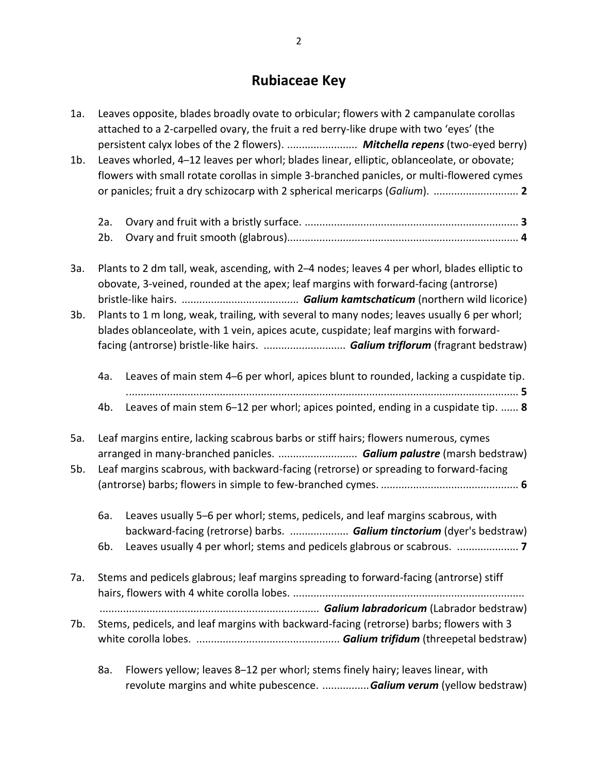# **Rubiaceae Key**

| 1a.                                                                                                                                                                                                                                                                           | Leaves opposite, blades broadly ovate to orbicular; flowers with 2 campanulate corollas<br>attached to a 2-carpelled ovary, the fruit a red berry-like drupe with two 'eyes' (the |                                                                                                                                                                                        |  |  |  |
|-------------------------------------------------------------------------------------------------------------------------------------------------------------------------------------------------------------------------------------------------------------------------------|-----------------------------------------------------------------------------------------------------------------------------------------------------------------------------------|----------------------------------------------------------------------------------------------------------------------------------------------------------------------------------------|--|--|--|
| $1b$ .                                                                                                                                                                                                                                                                        |                                                                                                                                                                                   | Leaves whorled, 4-12 leaves per whorl; blades linear, elliptic, oblanceolate, or obovate;<br>flowers with small rotate corollas in simple 3-branched panicles, or multi-flowered cymes |  |  |  |
|                                                                                                                                                                                                                                                                               |                                                                                                                                                                                   |                                                                                                                                                                                        |  |  |  |
|                                                                                                                                                                                                                                                                               | 2a.<br>2b.                                                                                                                                                                        |                                                                                                                                                                                        |  |  |  |
| За.                                                                                                                                                                                                                                                                           |                                                                                                                                                                                   | Plants to 2 dm tall, weak, ascending, with 2-4 nodes; leaves 4 per whorl, blades elliptic to<br>obovate, 3-veined, rounded at the apex; leaf margins with forward-facing (antrorse)    |  |  |  |
| Plants to 1 m long, weak, trailing, with several to many nodes; leaves usually 6 per whorl;<br>$3b$ .<br>blades oblanceolate, with 1 vein, apices acute, cuspidate; leaf margins with forward-<br>facing (antrorse) bristle-like hairs.  Galium triflorum (fragrant bedstraw) |                                                                                                                                                                                   |                                                                                                                                                                                        |  |  |  |
|                                                                                                                                                                                                                                                                               | 4a.                                                                                                                                                                               | Leaves of main stem 4-6 per whorl, apices blunt to rounded, lacking a cuspidate tip.                                                                                                   |  |  |  |
|                                                                                                                                                                                                                                                                               | 4b.                                                                                                                                                                               | Leaves of main stem 6-12 per whorl; apices pointed, ending in a cuspidate tip.  8                                                                                                      |  |  |  |
| 5a.                                                                                                                                                                                                                                                                           |                                                                                                                                                                                   | Leaf margins entire, lacking scabrous barbs or stiff hairs; flowers numerous, cymes                                                                                                    |  |  |  |
| 5b.                                                                                                                                                                                                                                                                           |                                                                                                                                                                                   | arranged in many-branched panicles.  Galium palustre (marsh bedstraw)<br>Leaf margins scabrous, with backward-facing (retrorse) or spreading to forward-facing                         |  |  |  |
|                                                                                                                                                                                                                                                                               |                                                                                                                                                                                   |                                                                                                                                                                                        |  |  |  |
|                                                                                                                                                                                                                                                                               | 6a.                                                                                                                                                                               | Leaves usually 5-6 per whorl; stems, pedicels, and leaf margins scabrous, with                                                                                                         |  |  |  |
|                                                                                                                                                                                                                                                                               |                                                                                                                                                                                   | backward-facing (retrorse) barbs.  Galium tinctorium (dyer's bedstraw)                                                                                                                 |  |  |  |
| 7a.                                                                                                                                                                                                                                                                           | Stems and pedicels glabrous; leaf margins spreading to forward-facing (antrorse) stiff                                                                                            |                                                                                                                                                                                        |  |  |  |
| 7b.                                                                                                                                                                                                                                                                           |                                                                                                                                                                                   | Stems, pedicels, and leaf margins with backward-facing (retrorse) barbs; flowers with 3                                                                                                |  |  |  |
|                                                                                                                                                                                                                                                                               | 8a.                                                                                                                                                                               | Flowers yellow; leaves 8-12 per whorl; stems finely hairy; leaves linear, with<br>revolute margins and white pubescence. Galium verum (yellow bedstraw)                                |  |  |  |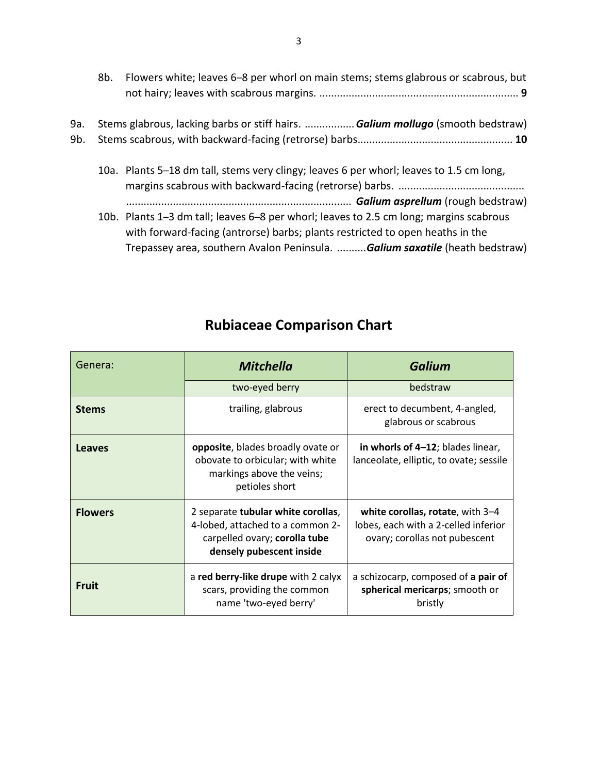8b. Flowers white; leaves 6–8 per whorl on main stems; stems glabrous or scabrous, but not hairy; leaves with scabrous margins. .................................................................... **9**

| 9a. Stems glabrous, lacking barbs or stiff hairs.  Galium mollugo (smooth bedstraw) |  |
|-------------------------------------------------------------------------------------|--|
|                                                                                     |  |

10a. Plants 5–18 dm tall, stems very clingy; leaves 6 per whorl; leaves to 1.5 cm long, margins scabrous with backward-facing (retrorse) barbs. ........................................... ............................................................................. *Galium asprellum* (rough bedstraw) 10b. Plants 1–3 dm tall; leaves 6–8 per whorl; leaves to 2.5 cm long; margins scabrous with forward-facing (antrorse) barbs; plants restricted to open heaths in the Trepassey area, southern Avalon Peninsula. ..........*Galium saxatile* (heath bedstraw)

| Genera:        | <b>Mitchella</b>                                                                                                                    | <b>Galium</b>                                                                                             |  |
|----------------|-------------------------------------------------------------------------------------------------------------------------------------|-----------------------------------------------------------------------------------------------------------|--|
|                | two-eyed berry                                                                                                                      | bedstraw                                                                                                  |  |
| <b>Stems</b>   | trailing, glabrous                                                                                                                  | erect to decumbent, 4-angled,<br>glabrous or scabrous                                                     |  |
| <b>Leaves</b>  | <b>opposite</b> , blades broadly ovate or<br>obovate to orbicular; with white<br>markings above the veins;<br>petioles short        | in whorls of 4-12; blades linear,<br>lanceolate, elliptic, to ovate; sessile                              |  |
| <b>Flowers</b> | 2 separate tubular white corollas,<br>4-lobed, attached to a common 2-<br>carpelled ovary; corolla tube<br>densely pubescent inside | white corollas, rotate, with 3-4<br>lobes, each with a 2-celled inferior<br>ovary; corollas not pubescent |  |
| <b>Fruit</b>   | a red berry-like drupe with 2 calyx<br>scars, providing the common<br>name 'two-eyed berry'                                         | a schizocarp, composed of a pair of<br>spherical mericarps; smooth or<br>bristly                          |  |

### **Rubiaceae Comparison Chart**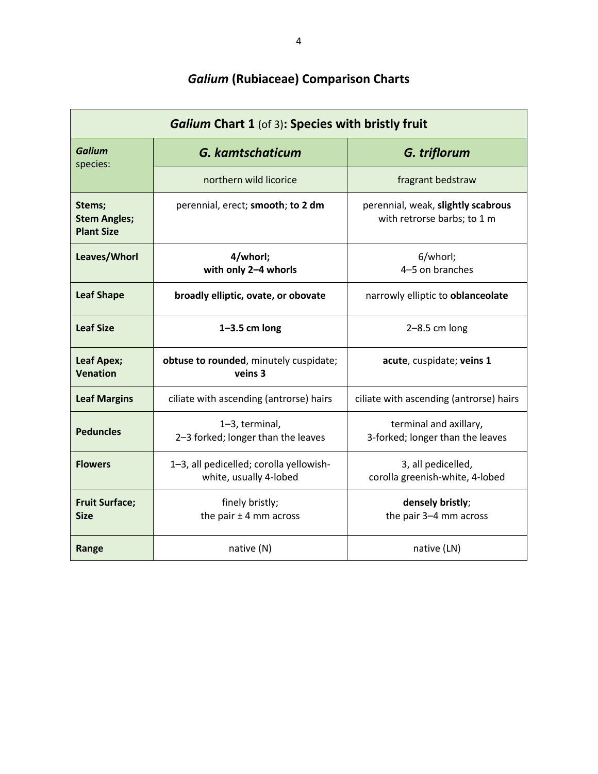| <b>Galium Chart 1 (of 3): Species with bristly fruit</b> |                                                                   |                                                                   |  |
|----------------------------------------------------------|-------------------------------------------------------------------|-------------------------------------------------------------------|--|
| Galium<br>species:                                       | <b>G. kamtschaticum</b>                                           | G. triflorum                                                      |  |
|                                                          | northern wild licorice                                            | fragrant bedstraw                                                 |  |
| Stems;<br><b>Stem Angles;</b><br><b>Plant Size</b>       | perennial, erect; smooth; to 2 dm                                 | perennial, weak, slightly scabrous<br>with retrorse barbs; to 1 m |  |
| Leaves/Whorl                                             | 4/whorl;<br>with only 2-4 whorls                                  | 6/whorl;<br>4-5 on branches                                       |  |
| <b>Leaf Shape</b>                                        | broadly elliptic, ovate, or obovate                               | narrowly elliptic to oblanceolate                                 |  |
| <b>Leaf Size</b>                                         | $1 - 3.5$ cm long                                                 | $2-8.5$ cm long                                                   |  |
| <b>Leaf Apex;</b><br><b>Venation</b>                     | obtuse to rounded, minutely cuspidate;<br>veins 3                 | acute, cuspidate; veins 1                                         |  |
| <b>Leaf Margins</b>                                      | ciliate with ascending (antrorse) hairs                           | ciliate with ascending (antrorse) hairs                           |  |
| <b>Peduncles</b>                                         | 1-3, terminal,<br>2-3 forked; longer than the leaves              | terminal and axillary,<br>3-forked; longer than the leaves        |  |
| <b>Flowers</b>                                           | 1-3, all pedicelled; corolla yellowish-<br>white, usually 4-lobed | 3, all pedicelled,<br>corolla greenish-white, 4-lobed             |  |
| <b>Fruit Surface;</b><br>Size                            | finely bristly;<br>the pair $\pm$ 4 mm across                     | densely bristly;<br>the pair 3-4 mm across                        |  |
| native $(N)$<br>Range                                    |                                                                   | native (LN)                                                       |  |

## *Galium* **(Rubiaceae) Comparison Charts**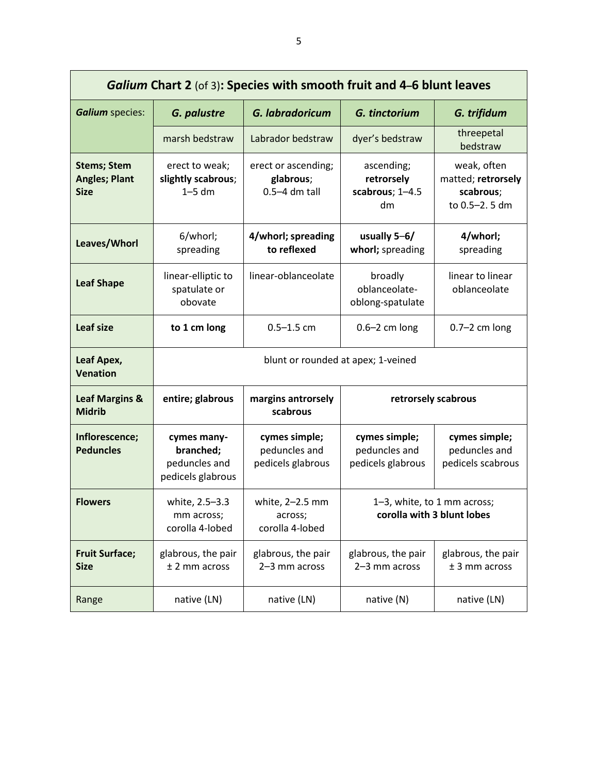| <b>Galium Chart 2</b> (of 3): Species with smooth fruit and 4-6 blunt leaves |                                                                |                                                       |                                                                                                                      |                                                     |  |
|------------------------------------------------------------------------------|----------------------------------------------------------------|-------------------------------------------------------|----------------------------------------------------------------------------------------------------------------------|-----------------------------------------------------|--|
| <b>Galium</b> species:                                                       | G. palustre                                                    | G. labradoricum                                       | G. tinctorium                                                                                                        | G. trifidum                                         |  |
|                                                                              | marsh bedstraw                                                 | Labrador bedstraw                                     | dyer's bedstraw                                                                                                      | threepetal<br>bedstraw                              |  |
| <b>Stems; Stem</b><br><b>Angles; Plant</b><br><b>Size</b>                    | erect to weak;<br>slightly scabrous;<br>$1-5$ dm               | erect or ascending;<br>glabrous;<br>$0.5 - 4$ dm tall | ascending;<br>weak, often<br>matted; retrorsely<br>retrorsely<br>scabrous; 1-4.5<br>scabrous;<br>to 0.5-2.5 dm<br>dm |                                                     |  |
| Leaves/Whorl                                                                 | 6/whorl;<br>spreading                                          | 4/whorl; spreading<br>to reflexed                     | usually $5-6/$<br>4/whorl;<br>whorl; spreading<br>spreading                                                          |                                                     |  |
| <b>Leaf Shape</b>                                                            | linear-elliptic to<br>spatulate or<br>obovate                  | linear-oblanceolate                                   | broadly<br>oblanceolate-<br>oblong-spatulate                                                                         | linear to linear<br>oblanceolate                    |  |
| Leaf size                                                                    | to 1 cm long                                                   | $0.5 - 1.5$ cm                                        | $0.6 - 2$ cm long                                                                                                    | $0.7-2$ cm long                                     |  |
| Leaf Apex,<br><b>Venation</b>                                                |                                                                |                                                       | blunt or rounded at apex; 1-veined                                                                                   |                                                     |  |
| <b>Leaf Margins &amp;</b><br><b>Midrib</b>                                   | entire; glabrous                                               | margins antrorsely<br>scabrous                        | retrorsely scabrous                                                                                                  |                                                     |  |
| Inflorescence;<br><b>Peduncles</b>                                           | cymes many-<br>branched;<br>peduncles and<br>pedicels glabrous | cymes simple;<br>peduncles and<br>pedicels glabrous   | cymes simple;<br>peduncles and<br>pedicels glabrous                                                                  | cymes simple;<br>peduncles and<br>pedicels scabrous |  |
| <b>Flowers</b>                                                               | white, 2.5-3.3<br>mm across;<br>corolla 4-lobed                | white, 2-2.5 mm<br>across;<br>corolla 4-lobed         | 1-3, white, to 1 mm across;<br>corolla with 3 blunt lobes                                                            |                                                     |  |
| <b>Fruit Surface;</b><br><b>Size</b>                                         | glabrous, the pair<br>$±$ 2 mm across                          | glabrous, the pair<br>2-3 mm across                   | glabrous, the pair<br>2-3 mm across                                                                                  | glabrous, the pair<br>$±$ 3 mm across               |  |
| Range                                                                        | native (LN)                                                    | native (LN)                                           | native (N)                                                                                                           | native (LN)                                         |  |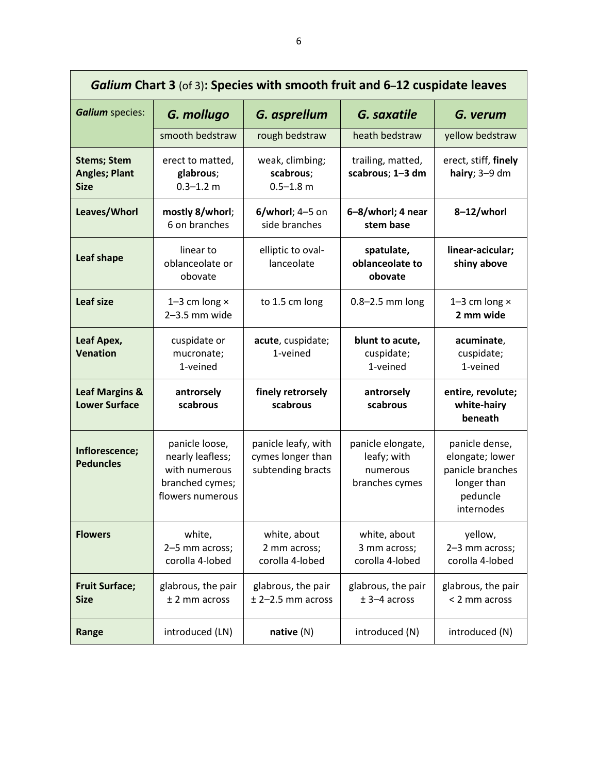| Galium Chart 3 (of 3): Species with smooth fruit and 6-12 cuspidate leaves |                                                                                            |                                                               |                                                                |                                                                                                |
|----------------------------------------------------------------------------|--------------------------------------------------------------------------------------------|---------------------------------------------------------------|----------------------------------------------------------------|------------------------------------------------------------------------------------------------|
| <b>Galium</b> species:                                                     | G. mollugo                                                                                 | G. asprellum                                                  | G. saxatile                                                    | G. verum                                                                                       |
|                                                                            | smooth bedstraw                                                                            | rough bedstraw                                                | heath bedstraw                                                 | yellow bedstraw                                                                                |
| <b>Stems; Stem</b><br><b>Angles; Plant</b><br><b>Size</b>                  | erect to matted,<br>glabrous;<br>$0.3 - 1.2$ m                                             | weak, climbing;<br>scabrous;<br>$0.5 - 1.8$ m                 | trailing, matted,<br>scabrous; 1-3 dm                          | erect, stiff, finely<br>hairy; $3-9$ dm                                                        |
| Leaves/Whorl                                                               | mostly 8/whorl;<br>6 on branches                                                           | $6$ /whorl; 4-5 on<br>side branches                           | 6-8/whorl; 4 near<br>stem base                                 | 8-12/whorl                                                                                     |
| Leaf shape                                                                 | linear to<br>oblanceolate or<br>obovate                                                    | elliptic to oval-<br>lanceolate                               | spatulate,<br>oblanceolate to<br>obovate                       | linear-acicular;<br>shiny above                                                                |
| <b>Leaf size</b>                                                           | 1-3 cm long $\times$<br>$2-3.5$ mm wide                                                    | to 1.5 cm long                                                | $0.8 - 2.5$ mm long                                            | 1-3 cm long $\times$<br>2 mm wide                                                              |
| Leaf Apex,<br><b>Venation</b>                                              | cuspidate or<br>mucronate;<br>1-veined                                                     | acute, cuspidate;<br>1-veined                                 | blunt to acute,<br>cuspidate;<br>1-veined                      | acuminate,<br>cuspidate;<br>1-veined                                                           |
| <b>Leaf Margins &amp;</b><br><b>Lower Surface</b>                          | antrorsely<br>scabrous                                                                     | finely retrorsely<br>scabrous                                 | antrorsely<br>scabrous                                         | entire, revolute;<br>white-hairy<br>beneath                                                    |
| Inflorescence;<br><b>Peduncles</b>                                         | panicle loose,<br>nearly leafless;<br>with numerous<br>branched cymes;<br>flowers numerous | panicle leafy, with<br>cymes longer than<br>subtending bracts | panicle elongate,<br>leafy; with<br>numerous<br>branches cymes | panicle dense,<br>elongate; lower<br>panicle branches<br>longer than<br>peduncle<br>internodes |
| <b>Flowers</b>                                                             | white,<br>2-5 mm across;<br>corolla 4-lobed                                                | white, about<br>2 mm across;<br>corolla 4-lobed               | white, about<br>3 mm across;<br>corolla 4-lobed                | yellow,<br>2-3 mm across;<br>corolla 4-lobed                                                   |
| <b>Fruit Surface;</b><br><b>Size</b>                                       | glabrous, the pair<br>$±$ 2 mm across                                                      | glabrous, the pair<br>$± 2-2.5$ mm across                     | glabrous, the pair<br>$± 3-4$ across                           | glabrous, the pair<br>< 2 mm across                                                            |
| Range                                                                      | introduced (LN)                                                                            | native(N)                                                     | introduced (N)                                                 | introduced (N)                                                                                 |